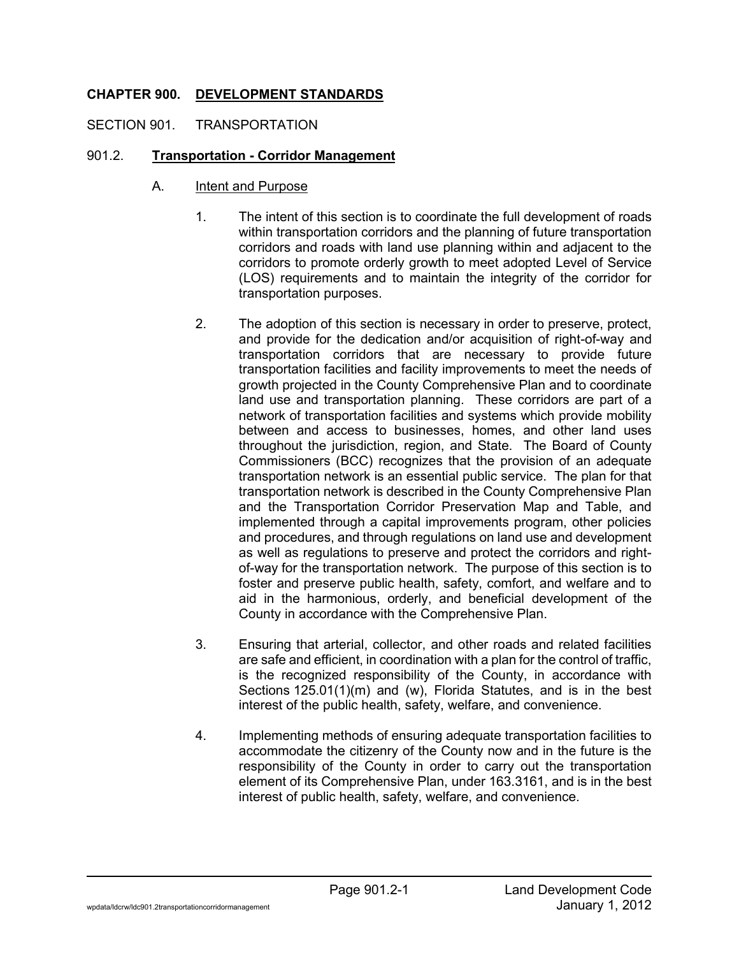# **CHAPTER 900. DEVELOPMENT STANDARDS**

### SECTION 901. TRANSPORTATION

### 901.2. **Transportation - Corridor Management**

- A. Intent and Purpose
	- 1. The intent of this section is to coordinate the full development of roads within transportation corridors and the planning of future transportation corridors and roads with land use planning within and adjacent to the corridors to promote orderly growth to meet adopted Level of Service (LOS) requirements and to maintain the integrity of the corridor for transportation purposes.
	- 2. The adoption of this section is necessary in order to preserve, protect, and provide for the dedication and/or acquisition of right-of-way and transportation corridors that are necessary to provide future transportation facilities and facility improvements to meet the needs of growth projected in the County Comprehensive Plan and to coordinate land use and transportation planning. These corridors are part of a network of transportation facilities and systems which provide mobility between and access to businesses, homes, and other land uses throughout the jurisdiction, region, and State. The Board of County Commissioners (BCC) recognizes that the provision of an adequate transportation network is an essential public service. The plan for that transportation network is described in the County Comprehensive Plan and the Transportation Corridor Preservation Map and Table, and implemented through a capital improvements program, other policies and procedures, and through regulations on land use and development as well as regulations to preserve and protect the corridors and rightof-way for the transportation network. The purpose of this section is to foster and preserve public health, safety, comfort, and welfare and to aid in the harmonious, orderly, and beneficial development of the County in accordance with the Comprehensive Plan.
	- 3. Ensuring that arterial, collector, and other roads and related facilities are safe and efficient, in coordination with a plan for the control of traffic, is the recognized responsibility of the County, in accordance with Sections 125.01(1)(m) and (w), Florida Statutes, and is in the best interest of the public health, safety, welfare, and convenience.
	- 4. Implementing methods of ensuring adequate transportation facilities to accommodate the citizenry of the County now and in the future is the responsibility of the County in order to carry out the transportation element of its Comprehensive Plan, under 163.3161, and is in the best interest of public health, safety, welfare, and convenience.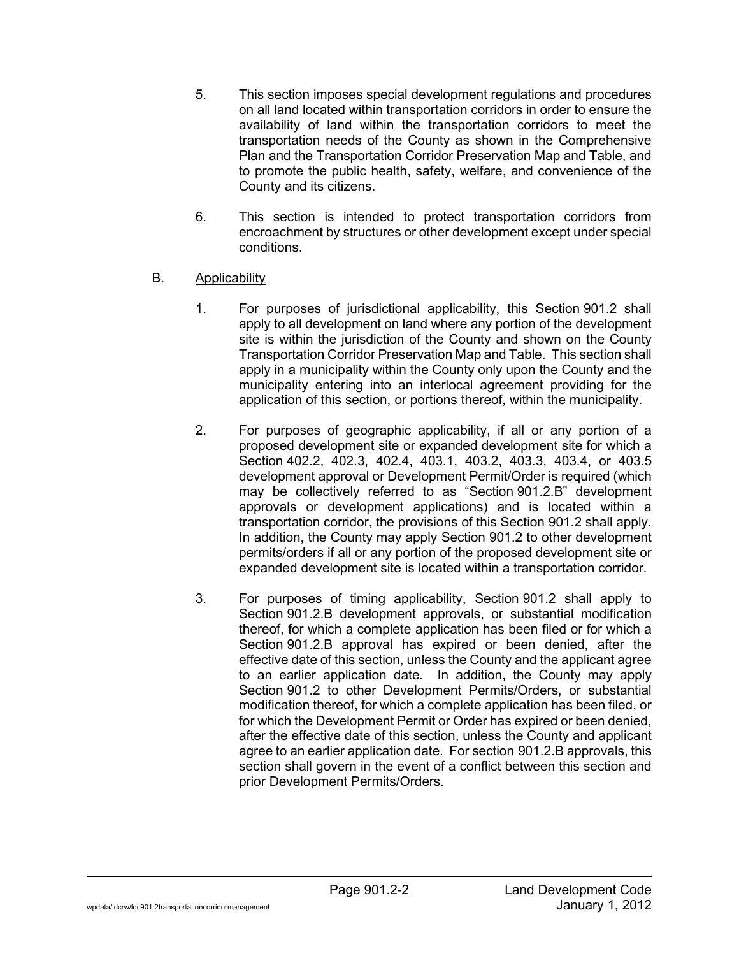- 5. This section imposes special development regulations and procedures on all land located within transportation corridors in order to ensure the availability of land within the transportation corridors to meet the transportation needs of the County as shown in the Comprehensive Plan and the Transportation Corridor Preservation Map and Table, and to promote the public health, safety, welfare, and convenience of the County and its citizens.
- 6. This section is intended to protect transportation corridors from encroachment by structures or other development except under special conditions.

## B. Applicability

- 1. For purposes of jurisdictional applicability, this Section 901.2 shall apply to all development on land where any portion of the development site is within the jurisdiction of the County and shown on the County Transportation Corridor Preservation Map and Table. This section shall apply in a municipality within the County only upon the County and the municipality entering into an interlocal agreement providing for the application of this section, or portions thereof, within the municipality.
- 2. For purposes of geographic applicability, if all or any portion of a proposed development site or expanded development site for which a Section 402.2, 402.3, 402.4, 403.1, 403.2, 403.3, 403.4, or 403.5 development approval or Development Permit/Order is required (which may be collectively referred to as "Section 901.2.B" development approvals or development applications) and is located within a transportation corridor, the provisions of this Section 901.2 shall apply. In addition, the County may apply Section 901.2 to other development permits/orders if all or any portion of the proposed development site or expanded development site is located within a transportation corridor.
- 3. For purposes of timing applicability, Section 901.2 shall apply to Section 901.2.B development approvals, or substantial modification thereof, for which a complete application has been filed or for which a Section 901.2.B approval has expired or been denied, after the effective date of this section, unless the County and the applicant agree to an earlier application date. In addition, the County may apply Section 901.2 to other Development Permits/Orders, or substantial modification thereof, for which a complete application has been filed, or for which the Development Permit or Order has expired or been denied, after the effective date of this section, unless the County and applicant agree to an earlier application date. For section 901.2.B approvals, this section shall govern in the event of a conflict between this section and prior Development Permits/Orders.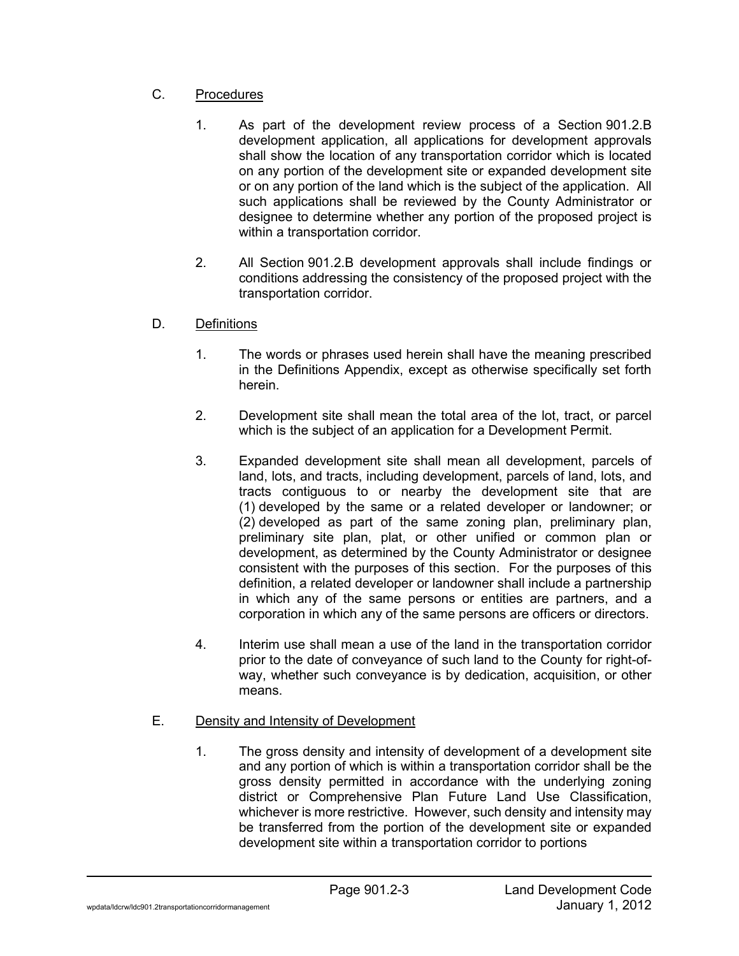# C. Procedures

- 1. As part of the development review process of a Section 901.2.B development application, all applications for development approvals shall show the location of any transportation corridor which is located on any portion of the development site or expanded development site or on any portion of the land which is the subject of the application. All such applications shall be reviewed by the County Administrator or designee to determine whether any portion of the proposed project is within a transportation corridor.
- 2. All Section 901.2.B development approvals shall include findings or conditions addressing the consistency of the proposed project with the transportation corridor.
- D. Definitions
	- 1. The words or phrases used herein shall have the meaning prescribed in the Definitions Appendix, except as otherwise specifically set forth herein.
	- 2. Development site shall mean the total area of the lot, tract, or parcel which is the subject of an application for a Development Permit.
	- 3. Expanded development site shall mean all development, parcels of land, lots, and tracts, including development, parcels of land, lots, and tracts contiguous to or nearby the development site that are (1) developed by the same or a related developer or landowner; or (2) developed as part of the same zoning plan, preliminary plan, preliminary site plan, plat, or other unified or common plan or development, as determined by the County Administrator or designee consistent with the purposes of this section. For the purposes of this definition, a related developer or landowner shall include a partnership in which any of the same persons or entities are partners, and a corporation in which any of the same persons are officers or directors.
	- 4. Interim use shall mean a use of the land in the transportation corridor prior to the date of conveyance of such land to the County for right-ofway, whether such conveyance is by dedication, acquisition, or other means.

# E. Density and Intensity of Development

1. The gross density and intensity of development of a development site and any portion of which is within a transportation corridor shall be the gross density permitted in accordance with the underlying zoning district or Comprehensive Plan Future Land Use Classification, whichever is more restrictive. However, such density and intensity may be transferred from the portion of the development site or expanded development site within a transportation corridor to portions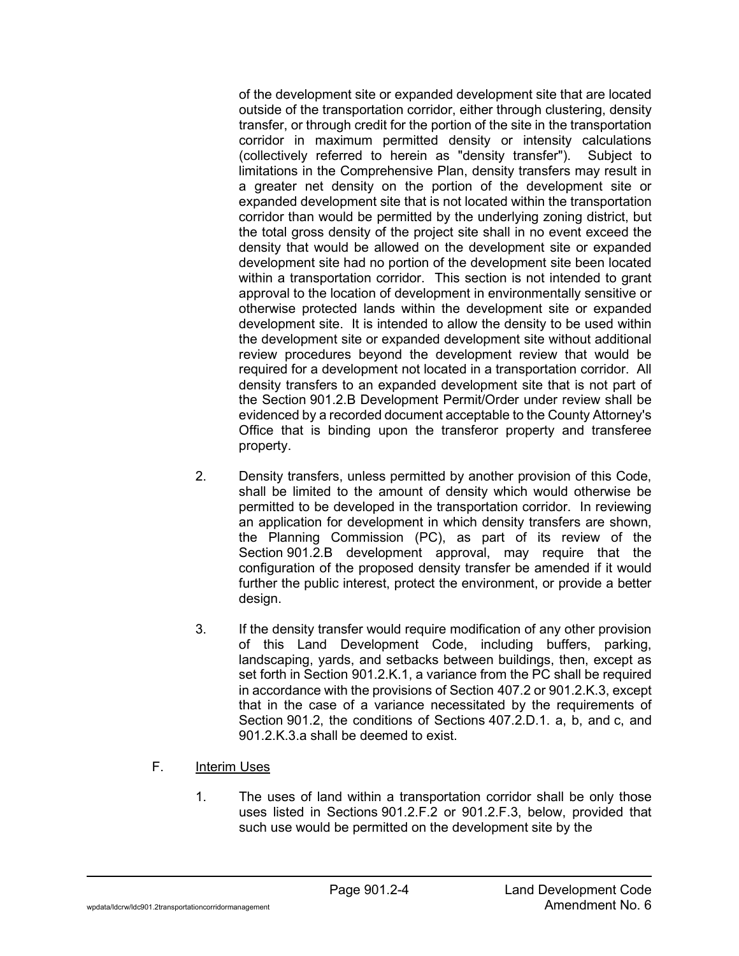of the development site or expanded development site that are located outside of the transportation corridor, either through clustering, density transfer, or through credit for the portion of the site in the transportation corridor in maximum permitted density or intensity calculations (collectively referred to herein as "density transfer"). Subject to limitations in the Comprehensive Plan, density transfers may result in a greater net density on the portion of the development site or expanded development site that is not located within the transportation corridor than would be permitted by the underlying zoning district, but the total gross density of the project site shall in no event exceed the density that would be allowed on the development site or expanded development site had no portion of the development site been located within a transportation corridor. This section is not intended to grant approval to the location of development in environmentally sensitive or otherwise protected lands within the development site or expanded development site. It is intended to allow the density to be used within the development site or expanded development site without additional review procedures beyond the development review that would be required for a development not located in a transportation corridor. All density transfers to an expanded development site that is not part of the Section 901.2.B Development Permit/Order under review shall be evidenced by a recorded document acceptable to the County Attorney's Office that is binding upon the transferor property and transferee property.

- 2. Density transfers, unless permitted by another provision of this Code, shall be limited to the amount of density which would otherwise be permitted to be developed in the transportation corridor. In reviewing an application for development in which density transfers are shown, the Planning Commission (PC), as part of its review of the Section 901.2.B development approval, may require that the configuration of the proposed density transfer be amended if it would further the public interest, protect the environment, or provide a better design.
- 3. If the density transfer would require modification of any other provision of this Land Development Code, including buffers, parking, landscaping, yards, and setbacks between buildings, then, except as set forth in Section 901.2.K.1, a variance from the PC shall be required in accordance with the provisions of Section 407.2 or 901.2.K.3, except that in the case of a variance necessitated by the requirements of Section 901.2, the conditions of Sections 407.2.D.1. a, b, and c, and 901.2.K.3.a shall be deemed to exist.
- F. **Interim Uses** 
	- 1. The uses of land within a transportation corridor shall be only those uses listed in Sections 901.2.F.2 or 901.2.F.3, below, provided that such use would be permitted on the development site by the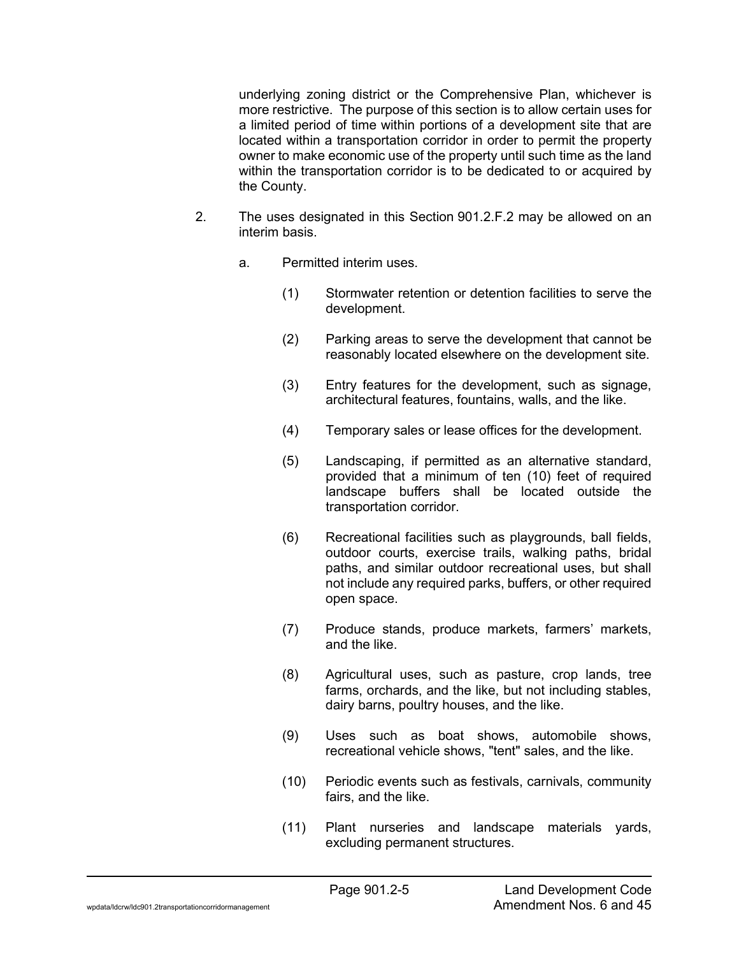underlying zoning district or the Comprehensive Plan, whichever is more restrictive. The purpose of this section is to allow certain uses for a limited period of time within portions of a development site that are located within a transportation corridor in order to permit the property owner to make economic use of the property until such time as the land within the transportation corridor is to be dedicated to or acquired by the County.

- 2. The uses designated in this Section 901.2.F.2 may be allowed on an interim basis.
	- a. Permitted interim uses.
		- (1) Stormwater retention or detention facilities to serve the development.
		- (2) Parking areas to serve the development that cannot be reasonably located elsewhere on the development site.
		- (3) Entry features for the development, such as signage, architectural features, fountains, walls, and the like.
		- (4) Temporary sales or lease offices for the development.
		- (5) Landscaping, if permitted as an alternative standard, provided that a minimum of ten (10) feet of required landscape buffers shall be located outside the transportation corridor.
		- (6) Recreational facilities such as playgrounds, ball fields, outdoor courts, exercise trails, walking paths, bridal paths, and similar outdoor recreational uses, but shall not include any required parks, buffers, or other required open space.
		- (7) Produce stands, produce markets, farmers' markets, and the like.
		- (8) Agricultural uses, such as pasture, crop lands, tree farms, orchards, and the like, but not including stables, dairy barns, poultry houses, and the like.
		- (9) Uses such as boat shows, automobile shows, recreational vehicle shows, "tent" sales, and the like.
		- (10) Periodic events such as festivals, carnivals, community fairs, and the like.
		- (11) Plant nurseries and landscape materials yards, excluding permanent structures.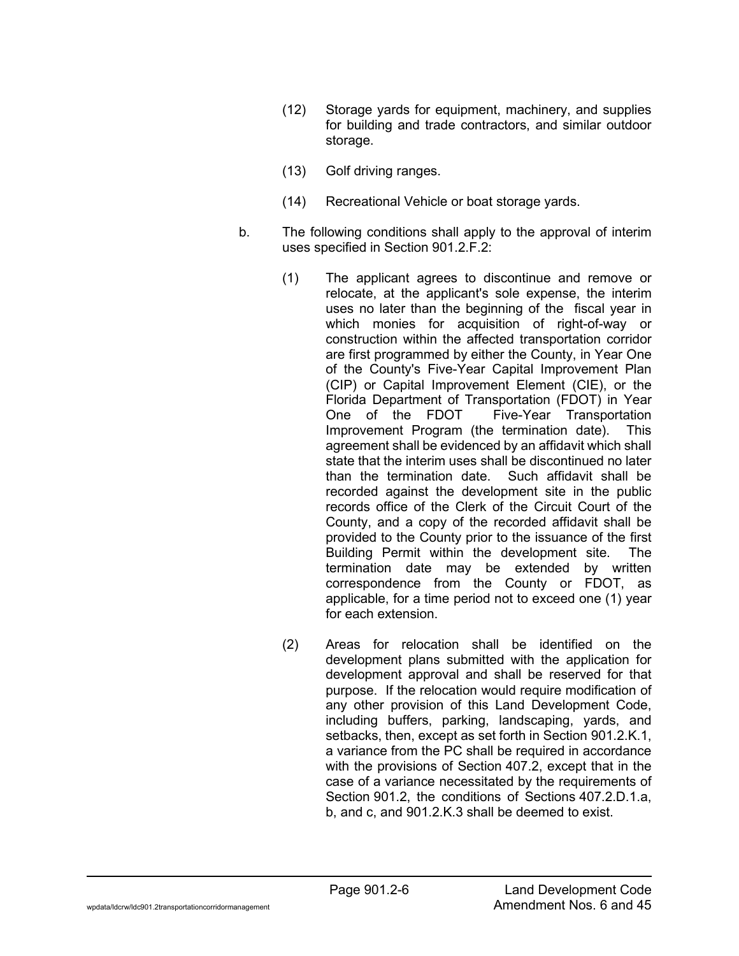- (12) Storage yards for equipment, machinery, and supplies for building and trade contractors, and similar outdoor storage.
- (13) Golf driving ranges.
- (14) Recreational Vehicle or boat storage yards.
- b. The following conditions shall apply to the approval of interim uses specified in Section 901.2.F.2:
	- (1) The applicant agrees to discontinue and remove or relocate, at the applicant's sole expense, the interim uses no later than the beginning of the fiscal year in which monies for acquisition of right-of-way or construction within the affected transportation corridor are first programmed by either the County, in Year One of the County's Five-Year Capital Improvement Plan (CIP) or Capital Improvement Element (CIE), or the Florida Department of Transportation (FDOT) in Year One of the FDOT Five-Year Transportation Improvement Program (the termination date). This agreement shall be evidenced by an affidavit which shall state that the interim uses shall be discontinued no later than the termination date. Such affidavit shall be recorded against the development site in the public records office of the Clerk of the Circuit Court of the County, and a copy of the recorded affidavit shall be provided to the County prior to the issuance of the first Building Permit within the development site. The termination date may be extended by written correspondence from the County or FDOT, as applicable, for a time period not to exceed one (1) year for each extension.
	- (2) Areas for relocation shall be identified on the development plans submitted with the application for development approval and shall be reserved for that purpose. If the relocation would require modification of any other provision of this Land Development Code, including buffers, parking, landscaping, yards, and setbacks, then, except as set forth in Section 901.2.K.1, a variance from the PC shall be required in accordance with the provisions of Section 407.2, except that in the case of a variance necessitated by the requirements of Section 901.2, the conditions of Sections 407.2.D.1.a, b, and c, and 901.2.K.3 shall be deemed to exist.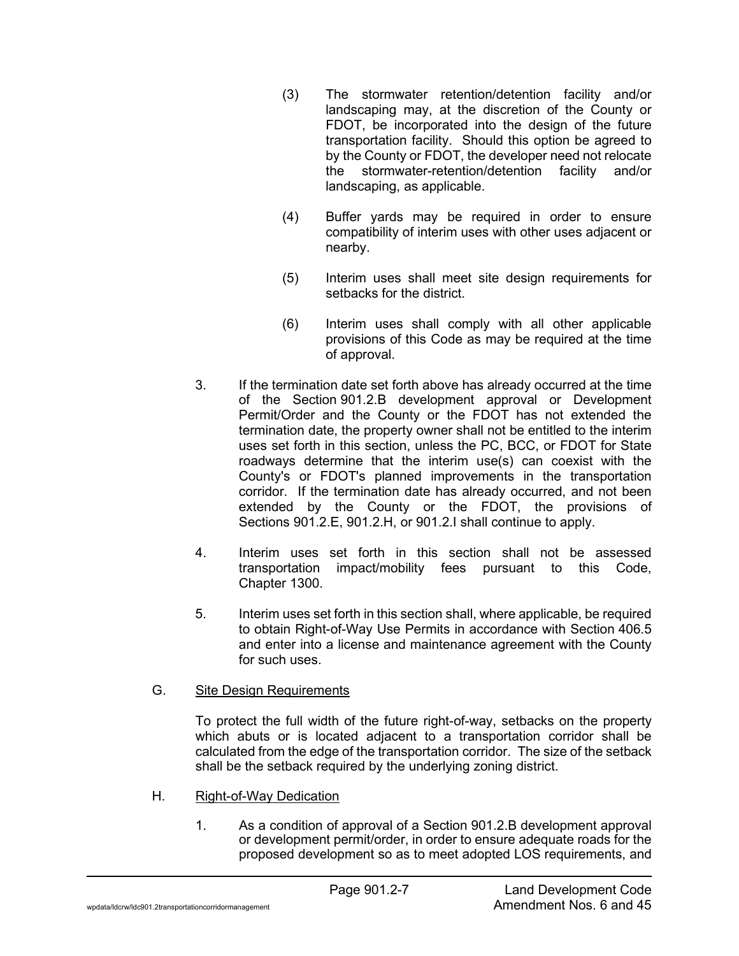- (3) The stormwater retention/detention facility and/or landscaping may, at the discretion of the County or FDOT, be incorporated into the design of the future transportation facility. Should this option be agreed to by the County or FDOT, the developer need not relocate the stormwater-retention/detention facility and/or landscaping, as applicable.
- (4) Buffer yards may be required in order to ensure compatibility of interim uses with other uses adjacent or nearby.
- (5) Interim uses shall meet site design requirements for setbacks for the district.
- (6) Interim uses shall comply with all other applicable provisions of this Code as may be required at the time of approval.
- 3. If the termination date set forth above has already occurred at the time of the Section 901.2.B development approval or Development Permit/Order and the County or the FDOT has not extended the termination date, the property owner shall not be entitled to the interim uses set forth in this section, unless the PC, BCC, or FDOT for State roadways determine that the interim use(s) can coexist with the County's or FDOT's planned improvements in the transportation corridor. If the termination date has already occurred, and not been extended by the County or the FDOT, the provisions of Sections 901.2.E, 901.2.H, or 901.2.I shall continue to apply.
- 4. Interim uses set forth in this section shall not be assessed transportation impact/mobility fees pursuant to this Code, Chapter 1300.
- 5. Interim uses set forth in this section shall, where applicable, be required to obtain Right-of-Way Use Permits in accordance with Section 406.5 and enter into a license and maintenance agreement with the County for such uses.

# G. Site Design Requirements

To protect the full width of the future right-of-way, setbacks on the property which abuts or is located adjacent to a transportation corridor shall be calculated from the edge of the transportation corridor. The size of the setback shall be the setback required by the underlying zoning district.

- H. Right-of-Way Dedication
	- 1. As a condition of approval of a Section 901.2.B development approval or development permit/order, in order to ensure adequate roads for the proposed development so as to meet adopted LOS requirements, and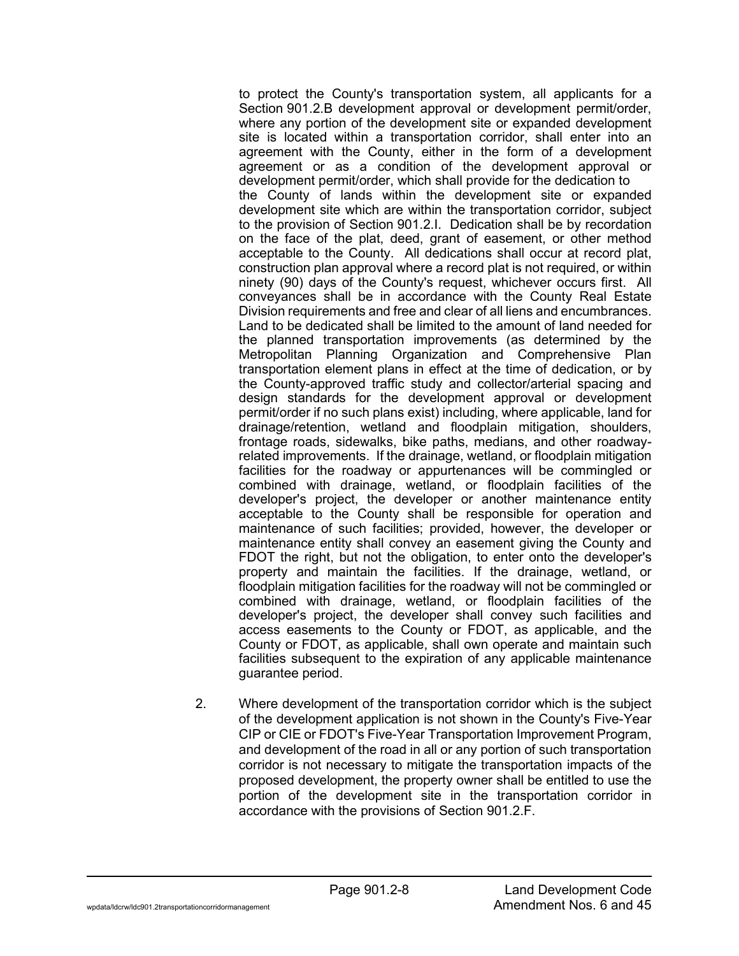to protect the County's transportation system, all applicants for a Section 901.2.B development approval or development permit/order, where any portion of the development site or expanded development site is located within a transportation corridor, shall enter into an agreement with the County, either in the form of a development agreement or as a condition of the development approval or development permit/order, which shall provide for the dedication to the County of lands within the development site or expanded development site which are within the transportation corridor, subject to the provision of Section 901.2.I. Dedication shall be by recordation on the face of the plat, deed, grant of easement, or other method acceptable to the County. All dedications shall occur at record plat, construction plan approval where a record plat is not required, or within ninety (90) days of the County's request, whichever occurs first. All conveyances shall be in accordance with the County Real Estate Division requirements and free and clear of all liens and encumbrances. Land to be dedicated shall be limited to the amount of land needed for the planned transportation improvements (as determined by the Metropolitan Planning Organization and Comprehensive Plan transportation element plans in effect at the time of dedication, or by the County-approved traffic study and collector/arterial spacing and design standards for the development approval or development permit/order if no such plans exist) including, where applicable, land for drainage/retention, wetland and floodplain mitigation, shoulders, frontage roads, sidewalks, bike paths, medians, and other roadwayrelated improvements. If the drainage, wetland, or floodplain mitigation facilities for the roadway or appurtenances will be commingled or combined with drainage, wetland, or floodplain facilities of the developer's project, the developer or another maintenance entity acceptable to the County shall be responsible for operation and maintenance of such facilities; provided, however, the developer or maintenance entity shall convey an easement giving the County and FDOT the right, but not the obligation, to enter onto the developer's property and maintain the facilities. If the drainage, wetland, or floodplain mitigation facilities for the roadway will not be commingled or combined with drainage, wetland, or floodplain facilities of the developer's project, the developer shall convey such facilities and access easements to the County or FDOT, as applicable, and the County or FDOT, as applicable, shall own operate and maintain such facilities subsequent to the expiration of any applicable maintenance guarantee period.

2. Where development of the transportation corridor which is the subject of the development application is not shown in the County's Five-Year CIP or CIE or FDOT's Five-Year Transportation Improvement Program, and development of the road in all or any portion of such transportation corridor is not necessary to mitigate the transportation impacts of the proposed development, the property owner shall be entitled to use the portion of the development site in the transportation corridor in accordance with the provisions of Section 901.2.F.